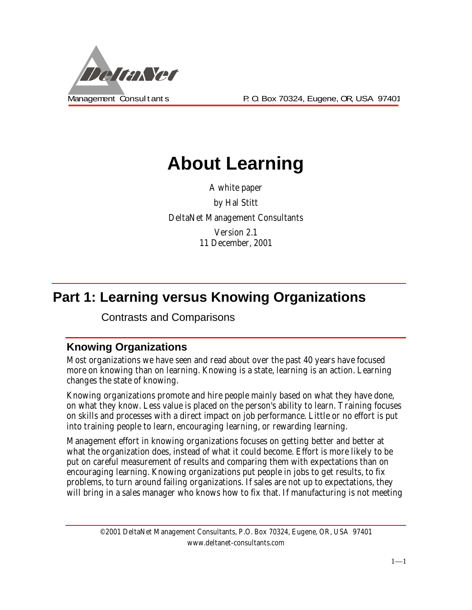

Management Consult ant s **P. O. Box 70324, Eugene, OR, USA 97401** 

# **About Learning**

A white paper by Hal Stitt DeltaNet Management Consultants Version 2.1 11 December, 2001

## **Part 1: Learning versus Knowing Organizations**

Contrasts and Comparisons

#### **Knowing Organizations**

Most organizations we have seen and read about over the past 40 years have focused more on knowing than on learning. Knowing is a state, learning is an action. Learning changes the state of knowing.

Knowing organizations promote and hire people mainly based on what they have done, on what they know. Less value is placed on the person's ability to learn. Training focuses on skills and processes with a direct impact on job performance. Little or no effort is put into training people to learn, encouraging learning, or rewarding learning.

Management effort in knowing organizations focuses on getting better and better at what the organization does, instead of what it could become. Effort is more likely to be put on careful measurement of results and comparing them with expectations than on encouraging learning. Knowing organizations put people in jobs to get results, to fix problems, to turn around failing organizations. If sales are not up to expectations, they will bring in a sales manager who knows how to fix that. If manufacturing is not meeting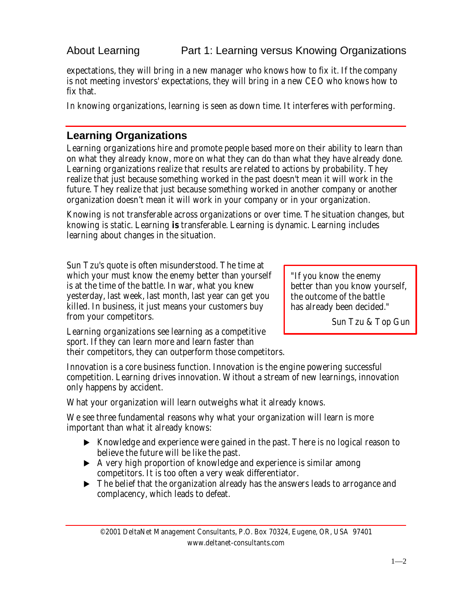About Learning **Part 1: Learning versus Knowing Organizations** 

expectations, they will bring in a new manager who knows how to fix it. If the company is not meeting investors' expectations, they will bring in a new CEO who knows how to fix that.

In knowing organizations, learning is seen as down time. It interferes with performing.

### **Learning Organizations**

Learning organizations hire and promote people based more on their ability to learn than on what they already know, more on what they can do than what they have already done. Learning organizations realize that results are related to actions by probability. They realize that just because something worked in the past doesn't mean it will work in the future. They realize that just because something worked in another company or another organization doesn't mean it will work in your company or in your organization.

Knowing is not transferable across organizations or over time. The situation changes, but knowing is static. Learning *is* transferable. Learning is dynamic. Learning includes learning about changes in the situation.

Sun Tzu's quote is often misunderstood. The time at which your must know the enemy better than yourself is at the time of the battle. In war, what you knew yesterday, last week, last month, last year can get you killed. In business, it just means your customers buy from your competitors.

"If you know the enemy better than you know yourself, the outcome of the battle has already been decided."

Sun Tzu & Top Gun

Learning organizations see learning as a competitive sport. If they can learn more and learn faster than their competitors, they can outperform those competitors.

Innovation is a core business function. Innovation is the engine powering successful competition. Learning drives innovation. Without a stream of new learnings, innovation only happens by accident.

What your organization will learn outweighs what it already knows.

We see three fundamental reasons why what your organization will learn is more important than what it already knows:

- $\triangleright$  Knowledge and experience were gained in the past. There is no logical reason to believe the future will be like the past.
- $\blacktriangleright$  A very high proportion of knowledge and experience is similar among competitors. It is too often a very weak differentiator.
- $\triangleright$  The belief that the organization already has the answers leads to arrogance and complacency, which leads to defeat.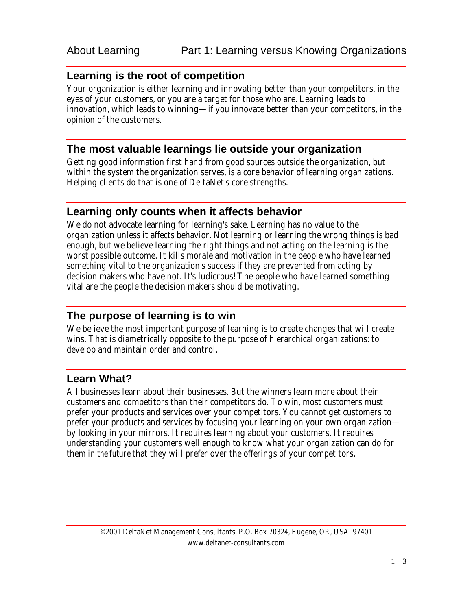#### **Learning is the root of competition**

Your organization is either learning and innovating better than your competitors, in the eyes of your customers, or you are a target for those who are. Learning leads to innovation, which leads to winning—if you innovate better than your competitors, in the opinion of the customers.

#### **The most valuable learnings lie outside your organization**

Getting good information first hand from good sources outside the organization, but within the system the organization serves, is a core behavior of learning organizations. Helping clients do that is one of DeltaNet's core strengths.

#### **Learning only counts when it affects behavior**

We do not advocate learning for learning's sake. Learning has no value to the organization unless it affects behavior. Not learning or learning the wrong things is bad enough, but we believe learning the right things and not acting on the learning is the worst possible outcome. It kills morale and motivation in the people who have learned something vital to the organization's success if they are prevented from acting by decision makers who have not. It's ludicrous! The people who have learned something vital are the people the decision makers should be motivating.

#### **The purpose of learning is to win**

We believe the most important purpose of learning is to create changes that will create wins. That is diametrically opposite to the purpose of hierarchical organizations: to develop and maintain order and control.

#### **Learn What?**

All businesses learn about their businesses. But the winners learn more about their customers and competitors than their competitors do. To win, most customers must prefer your products and services over your competitors. You cannot get customers to prefer your products and services by focusing your learning on your own organization by looking in your mirrors. It requires learning about your customers. It requires understanding your customers well enough to know what your organization can do for them *in the future* that they will prefer over the offerings of your competitors.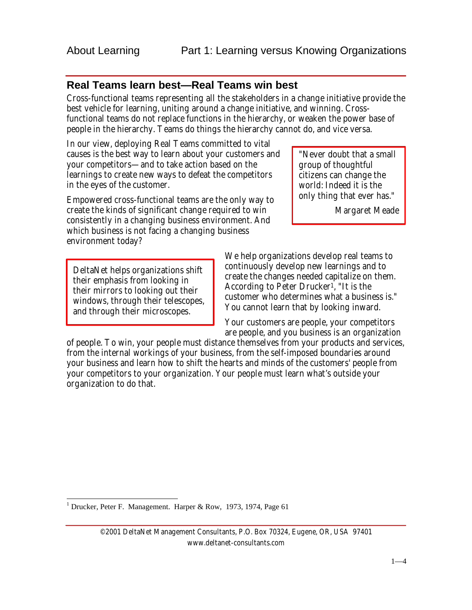#### **Real Teams learn best—Real Teams win best**

Cross-functional teams representing all the stakeholders in a change initiative provide the best vehicle for learning, uniting around a change initiative, and winning. Crossfunctional teams do not replace functions in the hierarchy, or weaken the power base of people in the hierarchy. Teams do things the hierarchy cannot do, and vice versa.

In our view, deploying Real Teams committed to vital causes is the best way to learn about your customers and your competitors—and to take action based on the learnings to create new ways to defeat the competitors in the eyes of the customer.

Empowered cross-functional teams are the only way to create the kinds of significant change required to win consistently in a changing business environment. And which business is not facing a changing business environment today?

DeltaNet helps organizations shift their emphasis from looking in their mirrors to looking out their windows, through their telescopes, and through their microscopes.

"Never doubt that a small group of thoughtful citizens can change the world: Indeed it is the only thing that ever has."

Margaret Meade

We help organizations develop real teams to continuously develop new learnings and to create the changes needed capitalize on them. According to Peter Drucker1, "It is the customer who determines what a business is." You cannot learn that by looking inward.

Your customers are people, your competitors are people, and you business is an organization

of people. To win, your people must distance themselves from your products and services, from the internal workings of your business, from the self-imposed boundaries around your business and learn how to shift the hearts and minds of the customers' people from your competitors to your organization. Your people must learn what's outside your organization to do that.

1 Drucker, Peter F. Management. Harper & Row, 1973, 1974, Page 61

 $\overline{a}$ 

©2001 DeltaNet Management Consultants, P.O. Box 70324, Eugene, OR, USA 97401 www.deltanet-consultants.com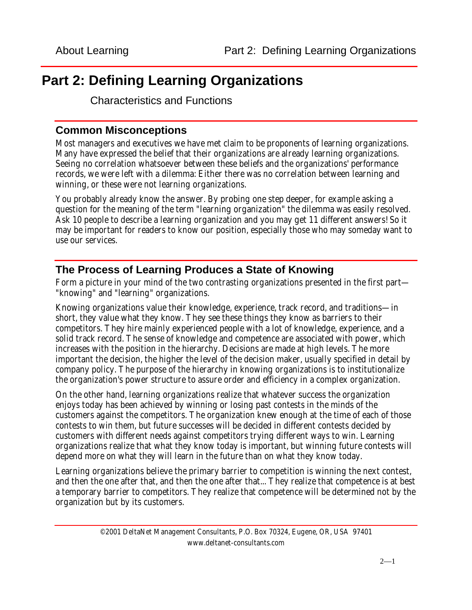## **Part 2: Defining Learning Organizations**

Characteristics and Functions

#### **Common Misconceptions**

Most managers and executives we have met claim to be proponents of learning organizations. Many have expressed the belief that their organizations are already learning organizations. Seeing no correlation whatsoever between these beliefs and the organizations' performance records, we were left with a dilemma: Either there was no correlation between learning and winning, or these were not learning organizations.

You probably already know the answer. By probing one step deeper, for example asking a question for the meaning of the term "learning organization" the dilemma was easily resolved. Ask 10 people to describe a learning organization and you may get 11 different answers! So it may be important for readers to know our position, especially those who may someday want to use our services.

#### **The Process of Learning Produces a State of Knowing**

Form a picture in your mind of the two contrasting organizations presented in the first part— "knowing" and "learning" organizations.

Knowing organizations value their knowledge, experience, track record, and traditions—in short, they value what they know. They see these things they know as barriers to their competitors. They hire mainly experienced people with a lot of knowledge, experience, and a solid track record. The sense of knowledge and competence are associated with power, which increases with the position in the hierarchy. Decisions are made at high levels. The more important the decision, the higher the level of the decision maker, usually specified in detail by company policy. The purpose of the hierarchy in knowing organizations is to institutionalize the organization's power structure to assure order and efficiency in a complex organization.

On the other hand, learning organizations realize that whatever success the organization enjoys today has been achieved by winning or losing past contests in the minds of the customers against the competitors. The organization knew enough at the time of each of those contests to win them, but future successes will be decided in different contests decided by customers with different needs against competitors trying different ways to win. Learning organizations realize that what they know today is important, but winning future contests will depend more on what they will learn in the future than on what they know today.

Learning organizations believe the primary barrier to competition is winning the next contest, and then the one after that, and then the one after that... They realize that competence is at best a temporary barrier to competitors. They realize that competence will be determined not by the organization but by its customers.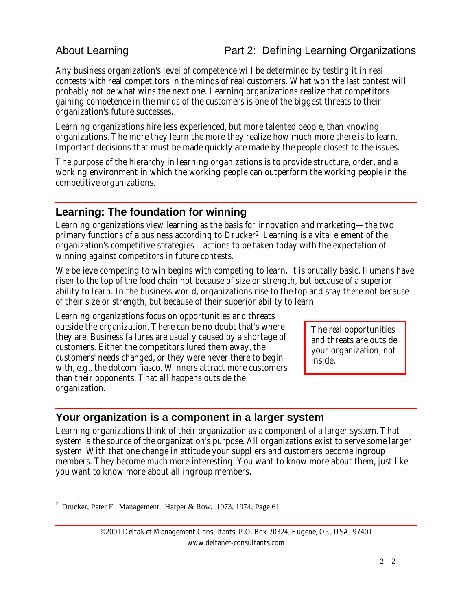#### About Learning **Part 2: Defining Learning Organizations**

Any business organization's level of competence will be determined by testing it in real contests with real competitors in the minds of real customers. What won the last contest will probably not be what wins the next one. Learning organizations realize that competitors gaining competence in the minds of the customers is one of the biggest threats to their organization's future successes.

Learning organizations hire less experienced, but more talented people, than knowing organizations. The more they learn the more they realize how much more there is to learn. Important decisions that must be made quickly are made by the people closest to the issues.

The purpose of the hierarchy in learning organizations is to provide structure, order, and a working environment in which the working people can outperform the working people in the competitive organizations.

#### **Learning: The foundation for winning**

Learning organizations view learning as the basis for innovation and marketing—the two primary functions of a business according to Drucker2. Learning is a vital element of the organization's competitive strategies—actions to be taken today with the expectation of winning against competitors in future contests.

We believe competing to win begins with competing to learn. It is brutally basic. Humans have risen to the top of the food chain not because of size or strength, but because of a superior ability to learn. In the business world, organizations rise to the top and stay there not because of their size or strength, but because of their superior ability to learn.

Learning organizations focus on opportunities and threats outside the organization. There can be no doubt that's where they are. Business failures are usually caused by a shortage of customers. Either the competitors lured them away, the customers' needs changed, or they were never there to begin with, e.g., the dotcom fiasco. Winners attract more customers than their opponents. That all happens outside the organization.

The *real* opportunities and threats are outside your organization, not inside.

#### **Your organization is a component in a larger system**

Learning organizations think of their organization as a component of a larger system. That system is the source of the organization's purpose. All organizations exist to serve some larger system. With that one change in attitude your suppliers and customers become ingroup members. They become much more interesting. You want to know more about them, just like you want to know more about all ingroup members.

l

©2001 DeltaNet Management Consultants, P.O. Box 70324, Eugene, OR, USA 97401 www.deltanet-consultants.com

<sup>&</sup>lt;sup>2</sup> Drucker, Peter F. Management. Harper & Row, 1973, 1974, Page 61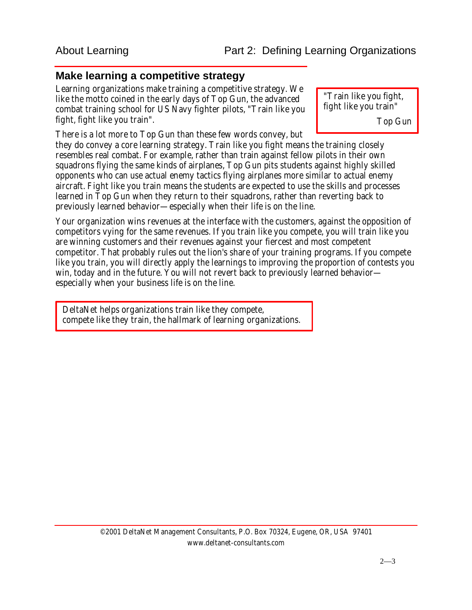#### **Make learning a competitive strategy**

Learning organizations make training a competitive strategy. We like the motto coined in the early days of Top Gun, the advanced combat training school for US Navy fighter pilots, "Train like you fight, fight like you train".

There is a lot more to Top Gun than these few words convey, but

"Train like you fight, fight like you train"

Top Gun

they do convey a core learning strategy. Train like you fight means the training closely resembles real combat. For example, rather than train against fellow pilots in their own squadrons flying the same kinds of airplanes, Top Gun pits students against highly skilled opponents who can use actual enemy tactics flying airplanes more similar to actual enemy aircraft. Fight like you train means the students are expected to use the skills and processes learned in Top Gun when they return to their squadrons, rather than reverting back to previously learned behavior—especially when their life is on the line.

Your organization wins revenues at the interface with the customers, against the opposition of competitors vying for the same revenues. If you train like you compete, you will train like you are winning customers and their revenues against your fiercest and most competent competitor. That probably rules out the lion's share of your training programs. If you compete like you train, you will directly apply the learnings to improving the proportion of contests you win, today and in the future. You will not revert back to previously learned behavior especially when your business life is on the line.

DeltaNet helps organizations train like they compete, compete like they train, the hallmark of learning organizations.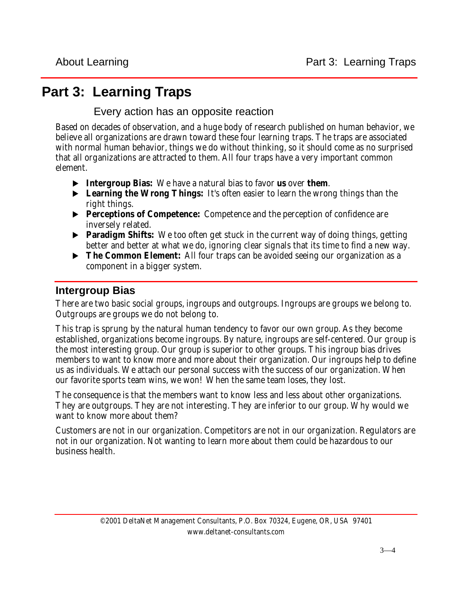## **Part 3: Learning Traps**

Every action has an opposite reaction

Based on decades of observation, and a huge body of research published on human behavior, we believe all organizations are drawn toward these four learning traps. The traps are associated with normal human behavior, things we do without thinking, so it should come as no surprised that all organizations are attracted to them. All four traps have a very important common element.

- **Example 3** Intergroup Bias: We have a natural bias to favor *us* over *them.*
- **Learning the Wrong Things:** It's often easier to learn the wrong things than the right things.
- **Perceptions of Competence:** Competence and the perception of confidence are inversely related.
- **Paradigm Shifts:** We too often get stuck in the current way of doing things, getting better and better at what we do, ignoring clear signals that its time to find a new way.
- **The Common Element:** All four traps can be avoided seeing our organization as a component in a bigger system.

### **Intergroup Bias**

There are two basic social groups, ingroups and outgroups. Ingroups are groups we belong to. Outgroups are groups we do not belong to.

This trap is sprung by the natural human tendency to favor our own group. As they become established, organizations become ingroups. By nature, ingroups are self-centered. Our group is the most interesting group. Our group is superior to other groups. This ingroup bias drives members to want to know more and more about their organization. Our ingroups help to define us as individuals. We attach our personal success with the success of our organization. When our favorite sports team wins, we won! When the same team loses, they lost.

The consequence is that the members want to know less and less about other organizations. They are outgroups. They are not interesting. They are inferior to our group. Why would we want to know more about them?

Customers are not in our organization. Competitors are not in our organization. Regulators are not in our organization. Not wanting to learn more about them could be hazardous to our business health.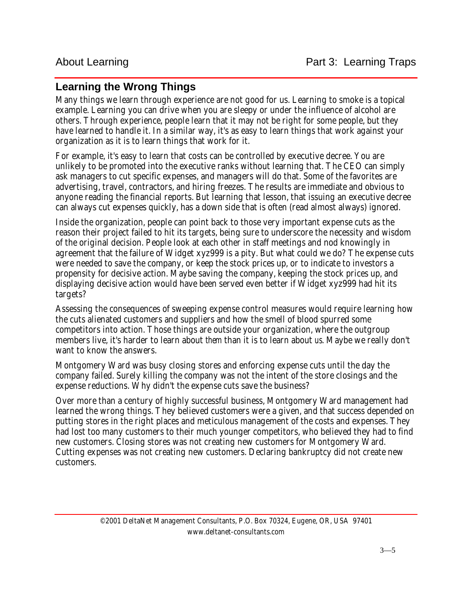#### **Learning the Wrong Things**

Many things we learn through experience are not good for us. Learning to smoke is a topical example. Learning you can drive when you are sleepy or under the influence of alcohol are others. Through experience, people learn that it may not be right for some people, but they have learned to handle it. In a similar way, it's as easy to learn things that work against your organization as it is to learn things that work for it.

For example, it's easy to learn that costs can be controlled by executive decree. You are unlikely to be promoted into the executive ranks without learning that. The CEO can simply ask managers to cut specific expenses, and managers will do that. Some of the favorites are advertising, travel, contractors, and hiring freezes. The results are immediate and obvious to anyone reading the financial reports. But learning that lesson, that issuing an executive decree can always cut expenses quickly, has a down side that is often (read almost always) ignored.

Inside the organization, people can point back to those very important expense cuts as the reason their project failed to hit its targets, being sure to underscore the necessity and wisdom of the original decision. People look at each other in staff meetings and nod knowingly in agreement that the failure of Widget xyz999 is a pity. But what could we do? The expense cuts were needed to save the company, or keep the stock prices up, or to indicate to investors a propensity for decisive action. Maybe saving the company, keeping the stock prices up, and displaying decisive action would have been served even better if Widget xyz999 had hit its targets?

Assessing the consequences of sweeping expense control measures would require learning how the cuts alienated customers and suppliers and how the smell of blood spurred some competitors into action. Those things are outside your organization, where the outgroup members live, it's harder to learn about *them* than it is to learn about *us*. Maybe we really don't want to know the answers.

Montgomery Ward was busy closing stores and enforcing expense cuts until the day the company failed. Surely killing the company was not the intent of the store closings and the expense reductions. Why didn't the expense cuts save the business?

Over more than a century of highly successful business, Montgomery Ward management had learned the wrong things. They believed customers were a given, and that success depended on putting stores in the right places and meticulous management of the costs and expenses. They had lost too many customers to their much younger competitors, who believed they had to find new customers. Closing stores was not creating new customers for Montgomery Ward. Cutting expenses was not creating new customers. Declaring bankruptcy did not create new customers.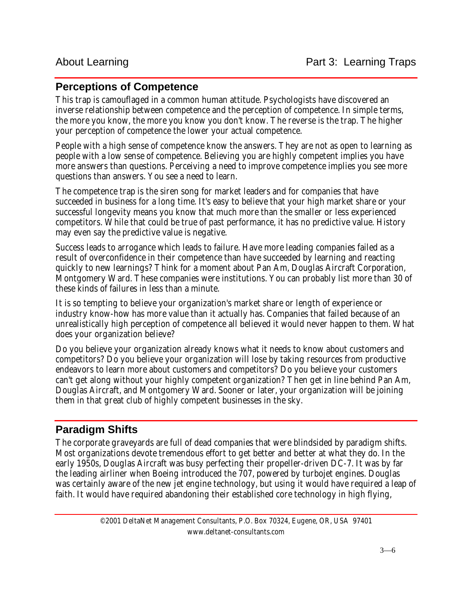#### **Perceptions of Competence**

This trap is camouflaged in a common human attitude. Psychologists have discovered an inverse relationship between competence and the perception of competence. In simple terms, the more you know, the more you know you don't know. The reverse is the trap. The higher your perception of competence the lower your actual competence.

People with a high sense of competence know the answers. They are not as open to learning as people with a low sense of competence. Believing you are highly competent implies you have more answers than questions. Perceiving a need to improve competence implies you see more questions than answers. You see a need to learn.

The competence trap is the siren song for market leaders and for companies that have succeeded in business for a long time. It's easy to believe that your high market share or your successful longevity means you know that much more than the smaller or less experienced competitors. While that could be true of past performance, it has no predictive value. History may even say the predictive value is negative.

Success leads to arrogance which leads to failure. Have more leading companies failed as a result of overconfidence in their competence than have succeeded by learning and reacting quickly to new learnings? Think for a moment about Pan Am, Douglas Aircraft Corporation, Montgomery Ward. These companies were institutions. You can probably list more than 30 of these kinds of failures in less than a minute.

It is so tempting to believe your organization's market share or length of experience or industry know-how has more value than it actually has. Companies that failed because of an unrealistically high perception of competence all believed it would never happen to them. What does your organization believe?

Do you believe your organization already knows what it needs to know about customers and competitors? Do you believe your organization will lose by taking resources from productive endeavors to learn more about customers and competitors? Do you believe your customers can't get along without your highly competent organization? Then get in line behind Pan Am, Douglas Aircraft, and Montgomery Ward. Sooner or later, your organization will be joining them in that great club of highly competent businesses in the sky.

#### **Paradigm Shifts**

The corporate graveyards are full of dead companies that were blindsided by paradigm shifts. Most organizations devote tremendous effort to get better and better at what they do. In the early 1950s, Douglas Aircraft was busy perfecting their propeller-driven DC-7. It was by far the leading airliner when Boeing introduced the 707, powered by turbojet engines. Douglas was certainly aware of the new jet engine technology, but using it would have required a leap of faith. It would have required abandoning their established core technology in high flying,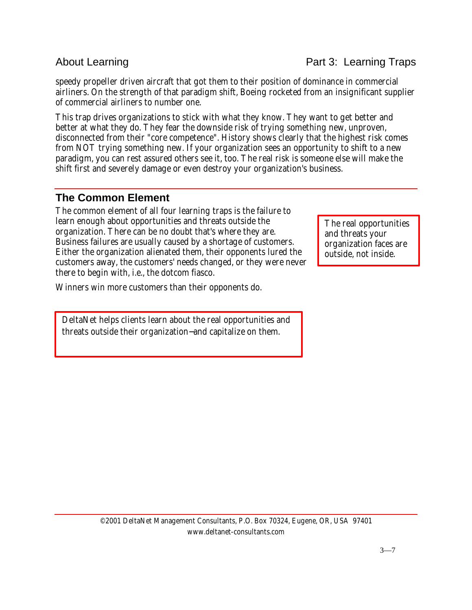speedy propeller driven aircraft that got them to their position of dominance in commercial airliners. On the strength of that paradigm shift, Boeing rocketed from an insignificant supplier of commercial airliners to number one.

This trap drives organizations to stick with what they know. They want to get better and better at what they do. They fear the downside risk of trying something new, unproven, disconnected from their "core competence". History shows clearly that the highest risk comes from NOT trying something new. If your organization sees an opportunity to shift to a new paradigm, you can rest assured others see it, too. The real risk is someone else will make the shift first and severely damage or even destroy your organization's business.

#### **The Common Element**

The common element of all four learning traps is the failure to learn enough about opportunities and threats outside the organization. There can be no doubt that's where they are. Business failures are usually caused by a shortage of customers. Either the organization alienated them, their opponents lured the customers away, the customers' needs changed, or they were never there to begin with, i.e., the dotcom fiasco.

Winners win more customers than their opponents do.

DeltaNet helps clients learn about the real opportunities and threats outside their organization−and capitalize on them.

The real opportunities and threats your organization faces are outside, not inside.

#### About Learning **Part 3: Learning Traps**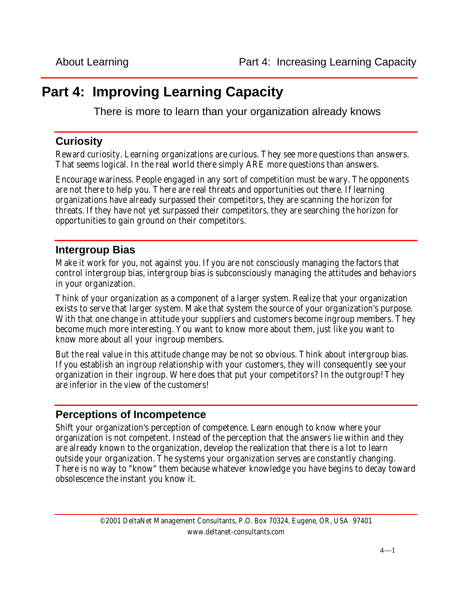## **Part 4: Improving Learning Capacity**

There is more to learn than your organization already knows

#### **Curiosity**

Reward curiosity. Learning organizations are curious. They see more questions than answers. That seems logical. In the real world there simply ARE more questions than answers.

Encourage wariness. People engaged in any sort of competition must be wary. The opponents are not there to help you. There are real threats and opportunities out there. If learning organizations have already surpassed their competitors, they are scanning the horizon for threats. If they have not yet surpassed their competitors, they are searching the horizon for opportunities to gain ground on their competitors.

#### **Intergroup Bias**

Make it work for you, not against you. If you are not consciously managing the factors that control intergroup bias, intergroup bias is subconsciously managing the attitudes and behaviors in your organization.

Think of your organization as a component of a larger system. Realize that your organization exists to serve that larger system. Make that system the source of your organization's purpose. With that one change in attitude your suppliers and customers become ingroup members. They become much more interesting. You want to know more about them, just like you want to know more about all your ingroup members.

But the real value in this attitude change may be not so obvious. Think about intergroup bias. If you establish an ingroup relationship with your customers, they will consequently see your organization in their ingroup. Where does that put your competitors? In the outgroup! They are inferior in the view of the customers!

#### **Perceptions of Incompetence**

Shift your organization's perception of competence. Learn enough to know where your organization is not competent. Instead of the perception that the answers lie within and they are already known to the organization, develop the realization that there is a lot to learn outside your organization. The systems your organization serves are constantly changing. There is no way to "know" them because whatever knowledge you have begins to decay toward obsolescence the instant you know it.